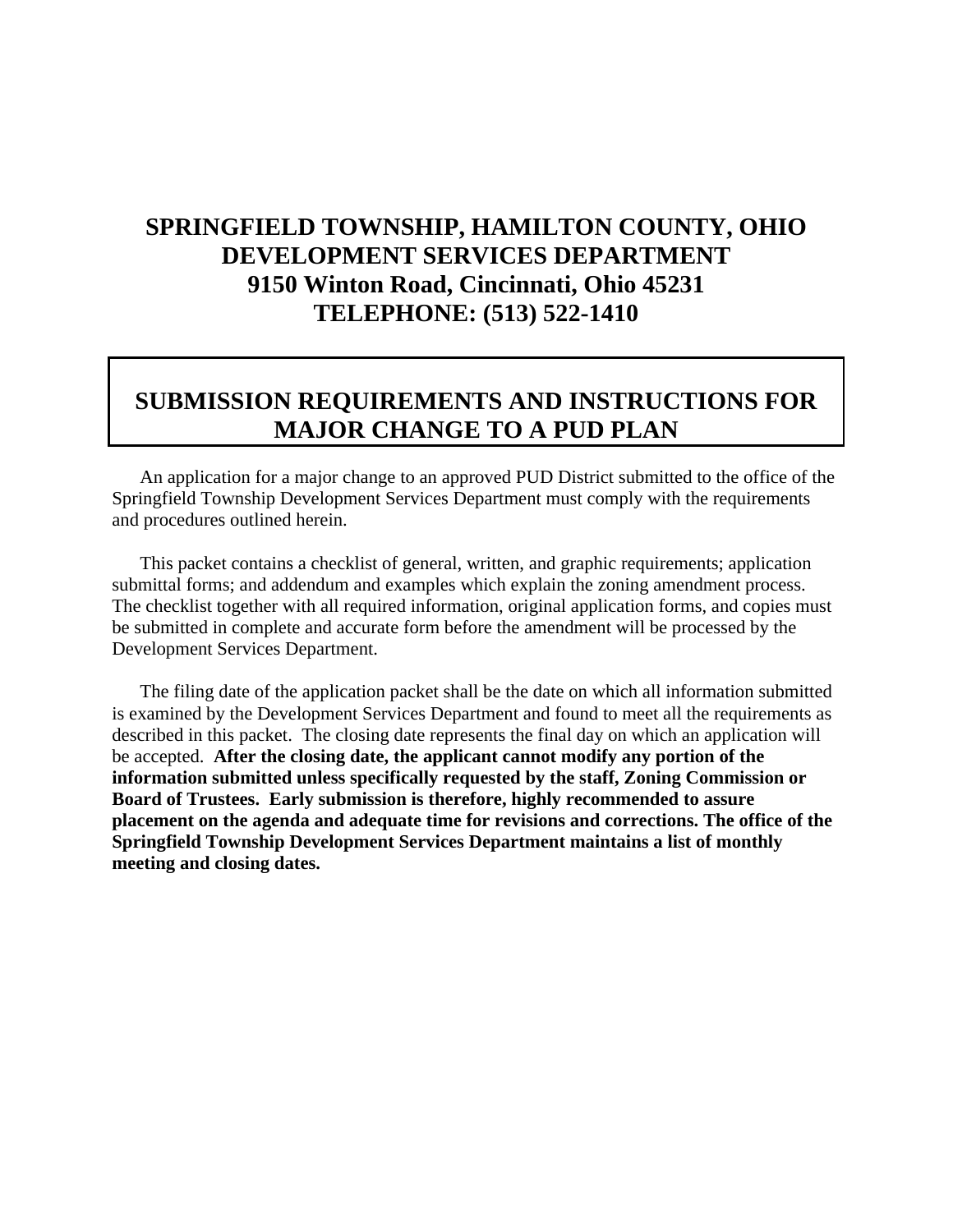# **SPRINGFIELD TOWNSHIP, HAMILTON COUNTY, OHIO DEVELOPMENT SERVICES DEPARTMENT 9150 Winton Road, Cincinnati, Ohio 45231 TELEPHONE: (513) 522-1410**

## **SUBMISSION REQUIREMENTS AND INSTRUCTIONS FOR MAJOR CHANGE TO A PUD PLAN**

An application for a major change to an approved PUD District submitted to the office of the Springfield Township Development Services Department must comply with the requirements and procedures outlined herein.

This packet contains a checklist of general, written, and graphic requirements; application submittal forms; and addendum and examples which explain the zoning amendment process. The checklist together with all required information, original application forms, and copies must be submitted in complete and accurate form before the amendment will be processed by the Development Services Department.

The filing date of the application packet shall be the date on which all information submitted is examined by the Development Services Department and found to meet all the requirements as described in this packet. The closing date represents the final day on which an application will be accepted. **After the closing date, the applicant cannot modify any portion of the information submitted unless specifically requested by the staff, Zoning Commission or Board of Trustees. Early submission is therefore, highly recommended to assure placement on the agenda and adequate time for revisions and corrections. The office of the Springfield Township Development Services Department maintains a list of monthly meeting and closing dates.**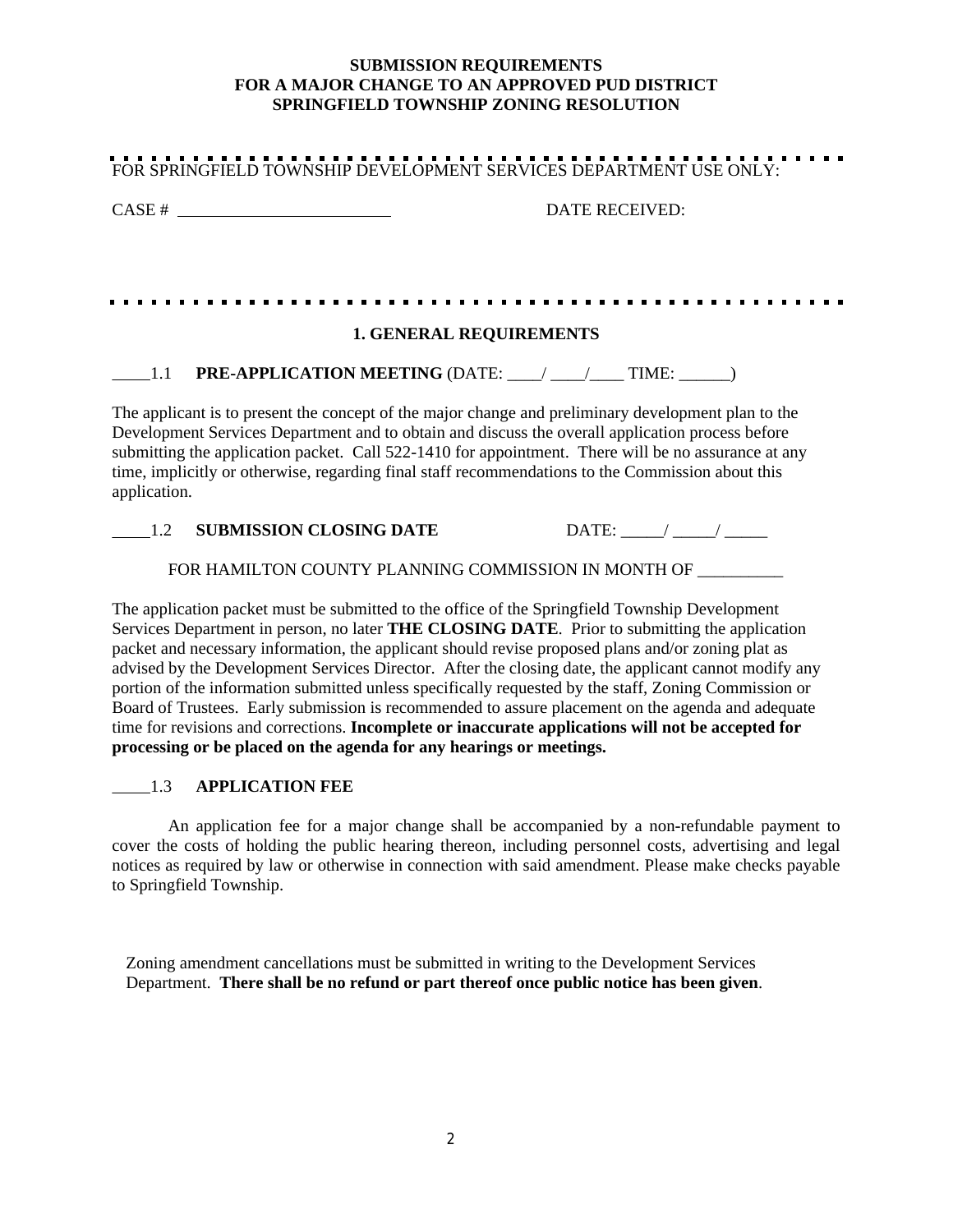#### **SUBMISSION REQUIREMENTS FOR A MAJOR CHANGE TO AN APPROVED PUD DISTRICT SPRINGFIELD TOWNSHIP ZONING RESOLUTION**

| FOR SPRINGFIELD TOWNSHIP DEVELOPMENT SERVICES DEPARTMENT USE ONLY:                                                                                                                                                                                                                                                                                                                                                                                                                                                                                                                                                                                                                                                                                                                                        |                       |
|-----------------------------------------------------------------------------------------------------------------------------------------------------------------------------------------------------------------------------------------------------------------------------------------------------------------------------------------------------------------------------------------------------------------------------------------------------------------------------------------------------------------------------------------------------------------------------------------------------------------------------------------------------------------------------------------------------------------------------------------------------------------------------------------------------------|-----------------------|
| $CASE # \n$                                                                                                                                                                                                                                                                                                                                                                                                                                                                                                                                                                                                                                                                                                                                                                                               | <b>DATE RECEIVED:</b> |
|                                                                                                                                                                                                                                                                                                                                                                                                                                                                                                                                                                                                                                                                                                                                                                                                           |                       |
| <b>1. GENERAL REQUIREMENTS</b>                                                                                                                                                                                                                                                                                                                                                                                                                                                                                                                                                                                                                                                                                                                                                                            |                       |
| <b>PRE-APPLICATION MEETING (DATE: ___/ ___/ ___ TIME: ____)</b><br>$\frac{1}{1}$ .1                                                                                                                                                                                                                                                                                                                                                                                                                                                                                                                                                                                                                                                                                                                       |                       |
| The applicant is to present the concept of the major change and preliminary development plan to the<br>Development Services Department and to obtain and discuss the overall application process before<br>submitting the application packet. Call 522-1410 for appointment. There will be no assurance at any<br>time, implicitly or otherwise, regarding final staff recommendations to the Commission about this<br>application.                                                                                                                                                                                                                                                                                                                                                                       |                       |
| <b>SUBMISSION CLOSING DATE</b><br>1.2                                                                                                                                                                                                                                                                                                                                                                                                                                                                                                                                                                                                                                                                                                                                                                     | DATE: $\angle$        |
| FOR HAMILTON COUNTY PLANNING COMMISSION IN MONTH OF _________                                                                                                                                                                                                                                                                                                                                                                                                                                                                                                                                                                                                                                                                                                                                             |                       |
| The application packet must be submitted to the office of the Springfield Township Development<br>Services Department in person, no later THE CLOSING DATE. Prior to submitting the application<br>packet and necessary information, the applicant should revise proposed plans and/or zoning plat as<br>advised by the Development Services Director. After the closing date, the applicant cannot modify any<br>portion of the information submitted unless specifically requested by the staff, Zoning Commission or<br>Board of Trustees. Early submission is recommended to assure placement on the agenda and adequate<br>time for revisions and corrections. Incomplete or inaccurate applications will not be accepted for<br>processing or be placed on the agenda for any hearings or meetings. |                       |

#### 1.3 **APPLICATION FEE**

An application fee for a major change shall be accompanied by a non-refundable payment to cover the costs of holding the public hearing thereon, including personnel costs, advertising and legal notices as required by law or otherwise in connection with said amendment. Please make checks payable to Springfield Township.

Zoning amendment cancellations must be submitted in writing to the Development Services Department. **There shall be no refund or part thereof once public notice has been given**.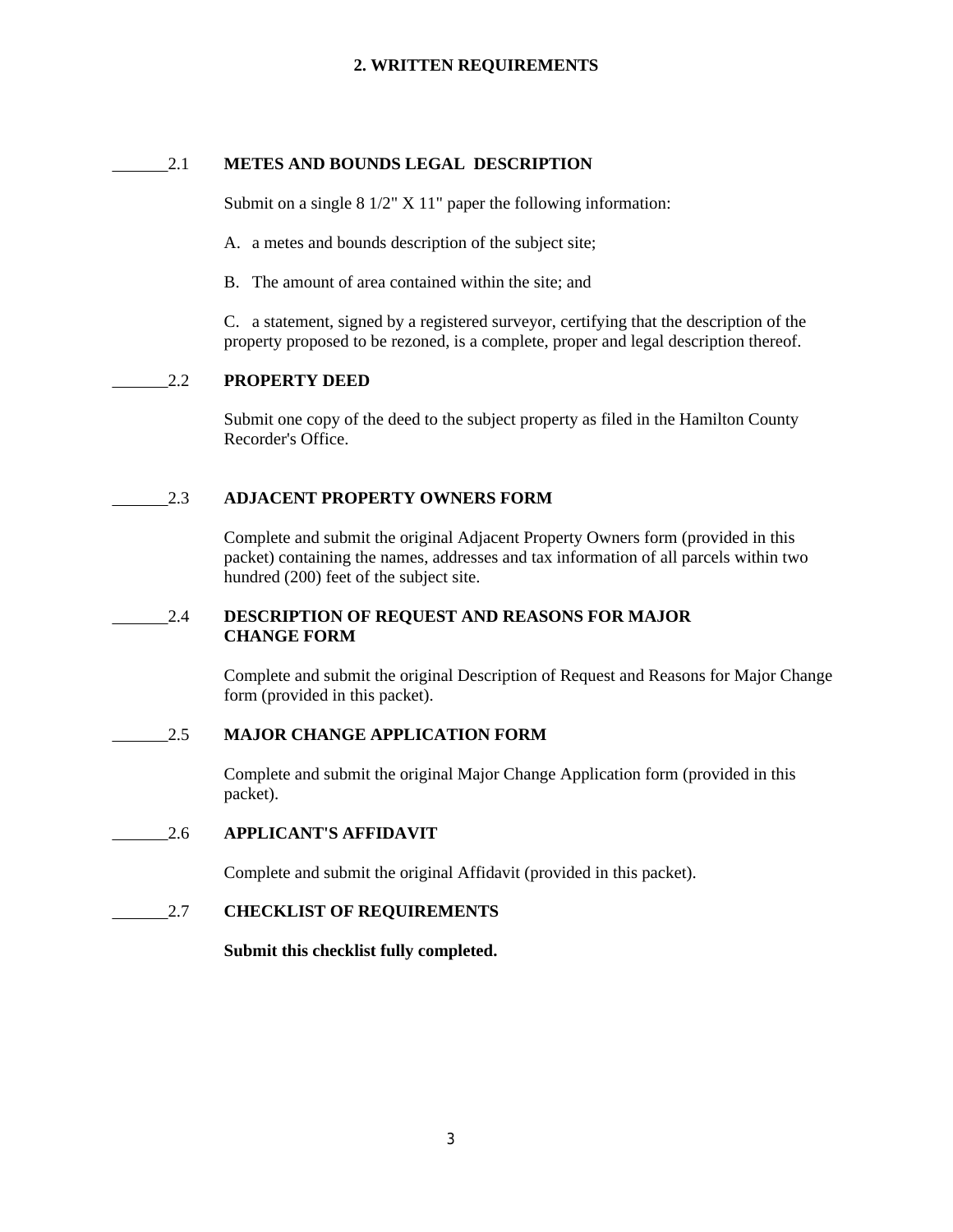#### 2.1 **METES AND BOUNDS LEGAL DESCRIPTION**

Submit on a single 8 1/2" X 11" paper the following information:

A. a metes and bounds description of the subject site;

B. The amount of area contained within the site; and

C. a statement, signed by a registered surveyor, certifying that the description of the property proposed to be rezoned, is a complete, proper and legal description thereof.

#### 2.2 **PROPERTY DEED**

Submit one copy of the deed to the subject property as filed in the Hamilton County Recorder's Office.

#### 2.3 **ADJACENT PROPERTY OWNERS FORM**

Complete and submit the original Adjacent Property Owners form (provided in this packet) containing the names, addresses and tax information of all parcels within two hundred (200) feet of the subject site.

#### 2.4 **DESCRIPTION OF REQUEST AND REASONS FOR MAJOR CHANGE FORM**

Complete and submit the original Description of Request and Reasons for Major Change form (provided in this packet).

#### 2.5 **MAJOR CHANGE APPLICATION FORM**

Complete and submit the original Major Change Application form (provided in this packet).

#### 2.6 **APPLICANT'S AFFIDAVIT**

Complete and submit the original Affidavit (provided in this packet).

#### 2.7 **CHECKLIST OF REQUIREMENTS**

#### **Submit this checklist fully completed.**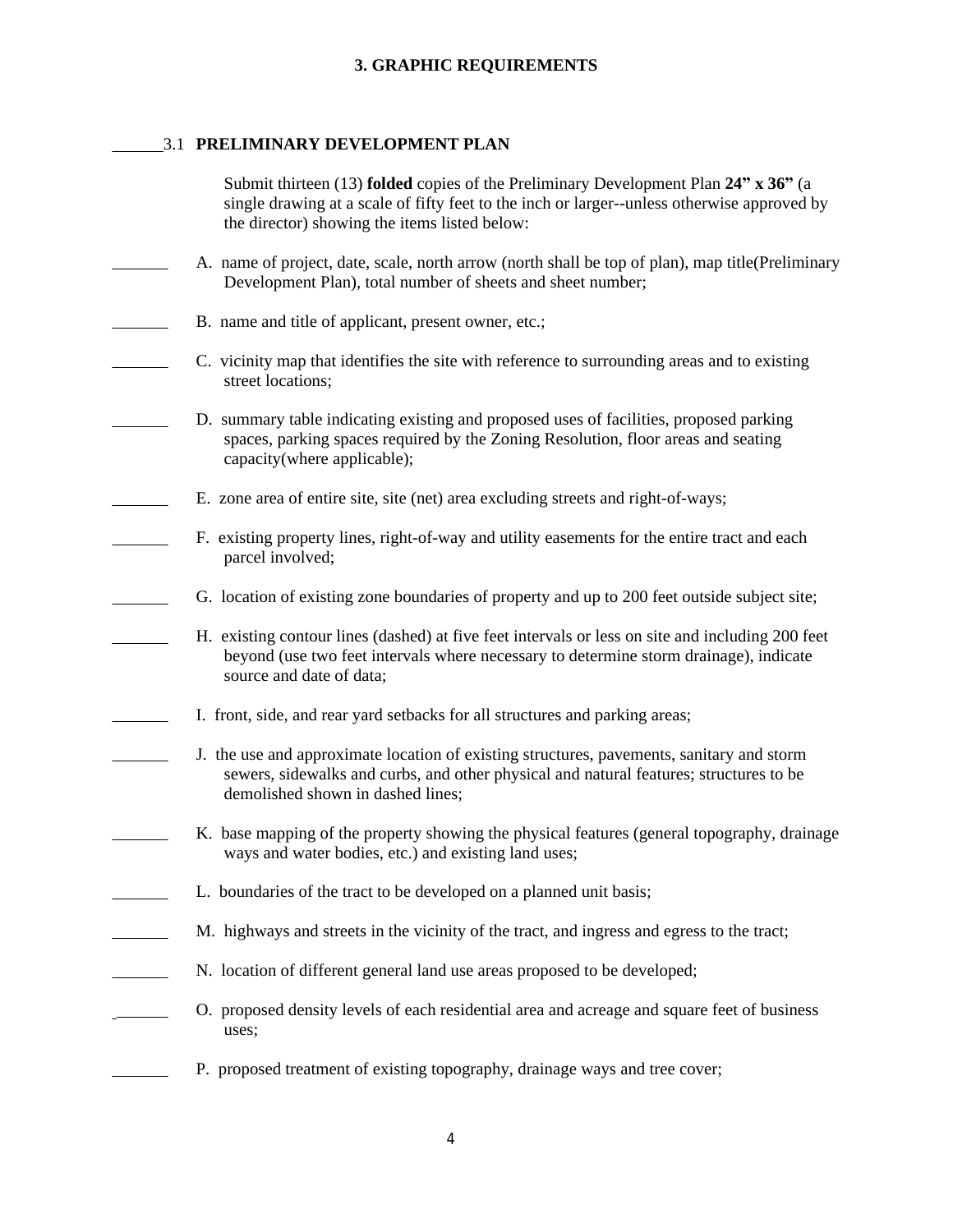#### 3.1 **PRELIMINARY DEVELOPMENT PLAN**

| Submit thirteen (13) <b>folded</b> copies of the Preliminary Development Plan $24''$ x $36''$ (a<br>single drawing at a scale of fifty feet to the inch or larger--unless otherwise approved by<br>the director) showing the items listed below: |
|--------------------------------------------------------------------------------------------------------------------------------------------------------------------------------------------------------------------------------------------------|
| A. name of project, date, scale, north arrow (north shall be top of plan), map title(Preliminary<br>Development Plan), total number of sheets and sheet number;                                                                                  |
| B. name and title of applicant, present owner, etc.;                                                                                                                                                                                             |
| C. vicinity map that identifies the site with reference to surrounding areas and to existing<br>street locations;                                                                                                                                |
| D. summary table indicating existing and proposed uses of facilities, proposed parking<br>spaces, parking spaces required by the Zoning Resolution, floor areas and seating<br>capacity(where applicable);                                       |
| E. zone area of entire site, site (net) area excluding streets and right-of-ways;                                                                                                                                                                |
| F. existing property lines, right-of-way and utility easements for the entire tract and each<br>parcel involved;                                                                                                                                 |
| G. location of existing zone boundaries of property and up to 200 feet outside subject site;                                                                                                                                                     |
| H. existing contour lines (dashed) at five feet intervals or less on site and including 200 feet<br>beyond (use two feet intervals where necessary to determine storm drainage), indicate<br>source and date of data;                            |
| I. front, side, and rear yard setbacks for all structures and parking areas;                                                                                                                                                                     |
| J. the use and approximate location of existing structures, pavements, sanitary and storm<br>sewers, sidewalks and curbs, and other physical and natural features; structures to be<br>demolished shown in dashed lines;                         |
| K. base mapping of the property showing the physical features (general topography, drainage<br>ways and water bodies, etc.) and existing land uses;                                                                                              |
| L. boundaries of the tract to be developed on a planned unit basis;                                                                                                                                                                              |
| M. highways and streets in the vicinity of the tract, and ingress and egress to the tract;                                                                                                                                                       |
| N. location of different general land use areas proposed to be developed;                                                                                                                                                                        |
| O. proposed density levels of each residential area and acreage and square feet of business<br>uses;                                                                                                                                             |
|                                                                                                                                                                                                                                                  |

P. proposed treatment of existing topography, drainage ways and tree cover;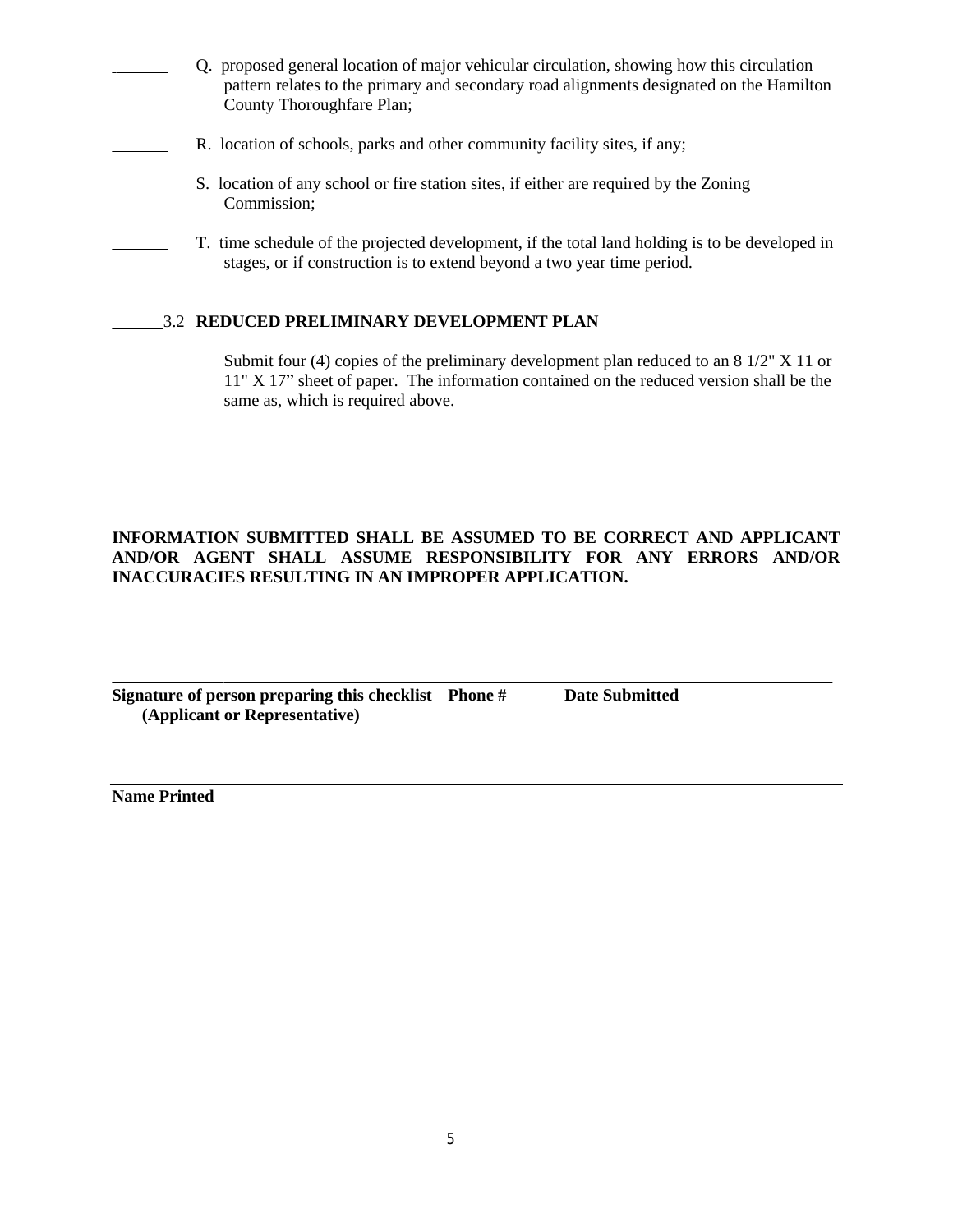- Q. proposed general location of major vehicular circulation, showing how this circulation pattern relates to the primary and secondary road alignments designated on the Hamilton County Thoroughfare Plan;
- R. location of schools, parks and other community facility sites, if any;
- S. location of any school or fire station sites, if either are required by the Zoning Commission;
	- T. time schedule of the projected development, if the total land holding is to be developed in stages, or if construction is to extend beyond a two year time period.

#### 3.2 **REDUCED PRELIMINARY DEVELOPMENT PLAN**

#### **INFORMATION SUBMITTED SHALL BE ASSUMED TO BE CORRECT AND APPLICANT AND/OR AGENT SHALL ASSUME RESPONSIBILITY FOR ANY ERRORS AND/OR INACCURACIES RESULTING IN AN IMPROPER APPLICATION.**

 $\overline{a}$ **Signature of person preparing this checklist Phone # Date Submitted (Applicant or Representative)**

**Name Printed**

Submit four (4) copies of the preliminary development plan reduced to an  $8\frac{1}{2}$  X 11 or 11" X 17" sheet of paper. The information contained on the reduced version shall be the same as, which is required above.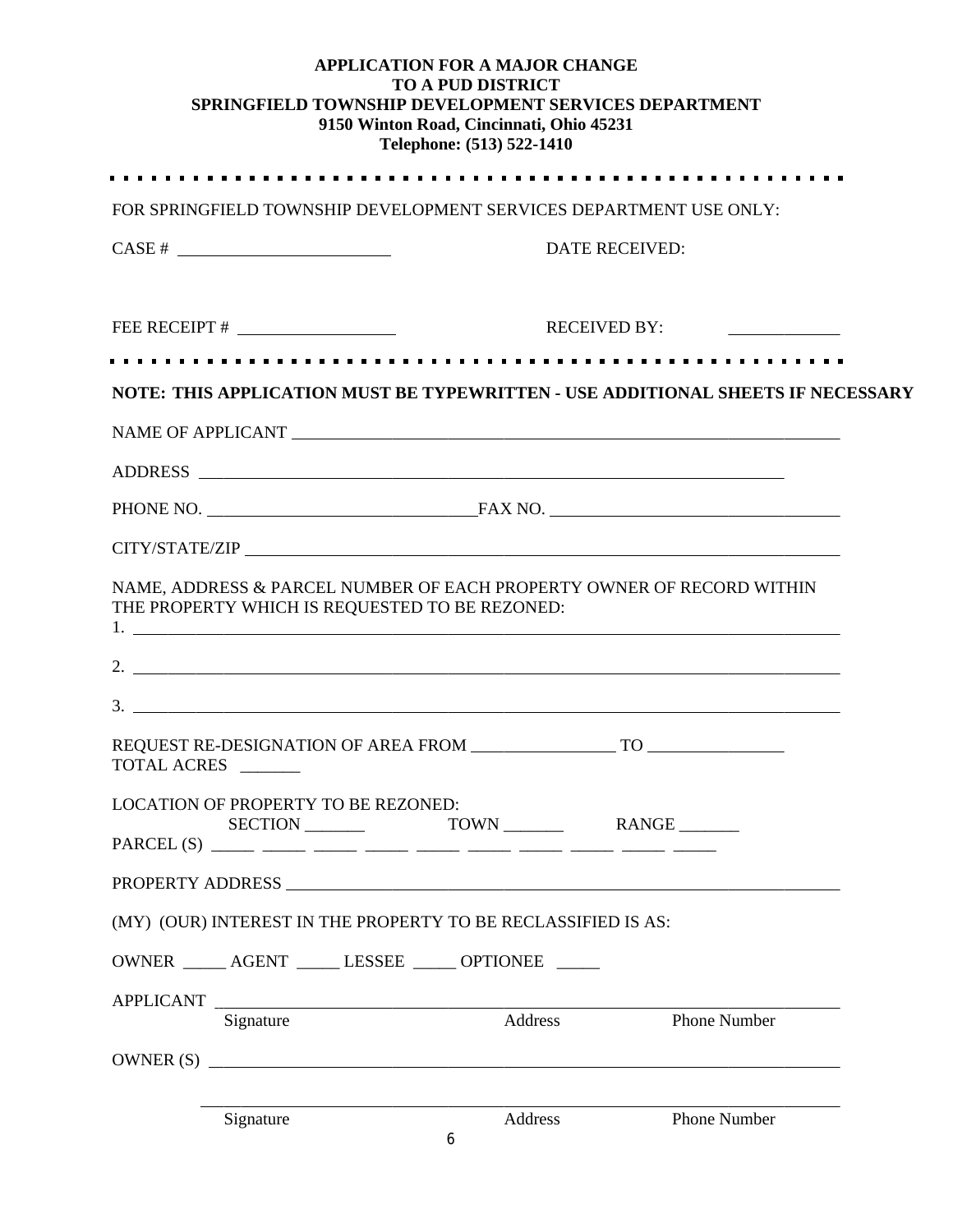|             |             |                                                | <b>APPLICATION FOR A MAJOR CHANGE</b><br><b>TO A PUD DISTRICT</b><br>9150 Winton Road, Cincinnati, Ohio 45231<br>Telephone: (513) 522-1410 | SPRINGFIELD TOWNSHIP DEVELOPMENT SERVICES DEPARTMENT                                                   |  |
|-------------|-------------|------------------------------------------------|--------------------------------------------------------------------------------------------------------------------------------------------|--------------------------------------------------------------------------------------------------------|--|
|             |             |                                                |                                                                                                                                            | FOR SPRINGFIELD TOWNSHIP DEVELOPMENT SERVICES DEPARTMENT USE ONLY:                                     |  |
|             | $CASE # \_$ |                                                |                                                                                                                                            | DATE RECEIVED:                                                                                         |  |
|             |             |                                                |                                                                                                                                            | <b>RECEIVED BY:</b><br>the control of the control of the control of                                    |  |
|             |             |                                                |                                                                                                                                            | NOTE: THIS APPLICATION MUST BE TYPEWRITTEN - USE ADDITIONAL SHEETS IF NECESSARY                        |  |
|             |             |                                                |                                                                                                                                            |                                                                                                        |  |
|             |             |                                                |                                                                                                                                            |                                                                                                        |  |
|             |             |                                                |                                                                                                                                            |                                                                                                        |  |
|             |             |                                                |                                                                                                                                            |                                                                                                        |  |
|             |             | THE PROPERTY WHICH IS REQUESTED TO BE REZONED: |                                                                                                                                            | NAME, ADDRESS & PARCEL NUMBER OF EACH PROPERTY OWNER OF RECORD WITHIN<br>$1.$ $\overline{\phantom{a}}$ |  |
| TOTAL ACRES |             | REQUEST RE-DESIGNATION OF AREA FROM            |                                                                                                                                            | <b>TO</b>                                                                                              |  |
|             |             | <b>LOCATION OF PROPERTY TO BE REZONED:</b>     |                                                                                                                                            |                                                                                                        |  |
|             |             |                                                |                                                                                                                                            |                                                                                                        |  |
|             |             |                                                | (MY) (OUR) INTEREST IN THE PROPERTY TO BE RECLASSIFIED IS AS:                                                                              |                                                                                                        |  |
|             |             |                                                | OWNER _____ AGENT _____ LESSEE _____ OPTIONEE _____                                                                                        |                                                                                                        |  |
|             | Signature   |                                                | APPLICANT<br>Address                                                                                                                       | Phone Number                                                                                           |  |
|             |             |                                                |                                                                                                                                            | $OWNER(S)$ $\qquad \qquad$                                                                             |  |
|             | Signature   |                                                | Address<br>6                                                                                                                               | <b>Phone Number</b>                                                                                    |  |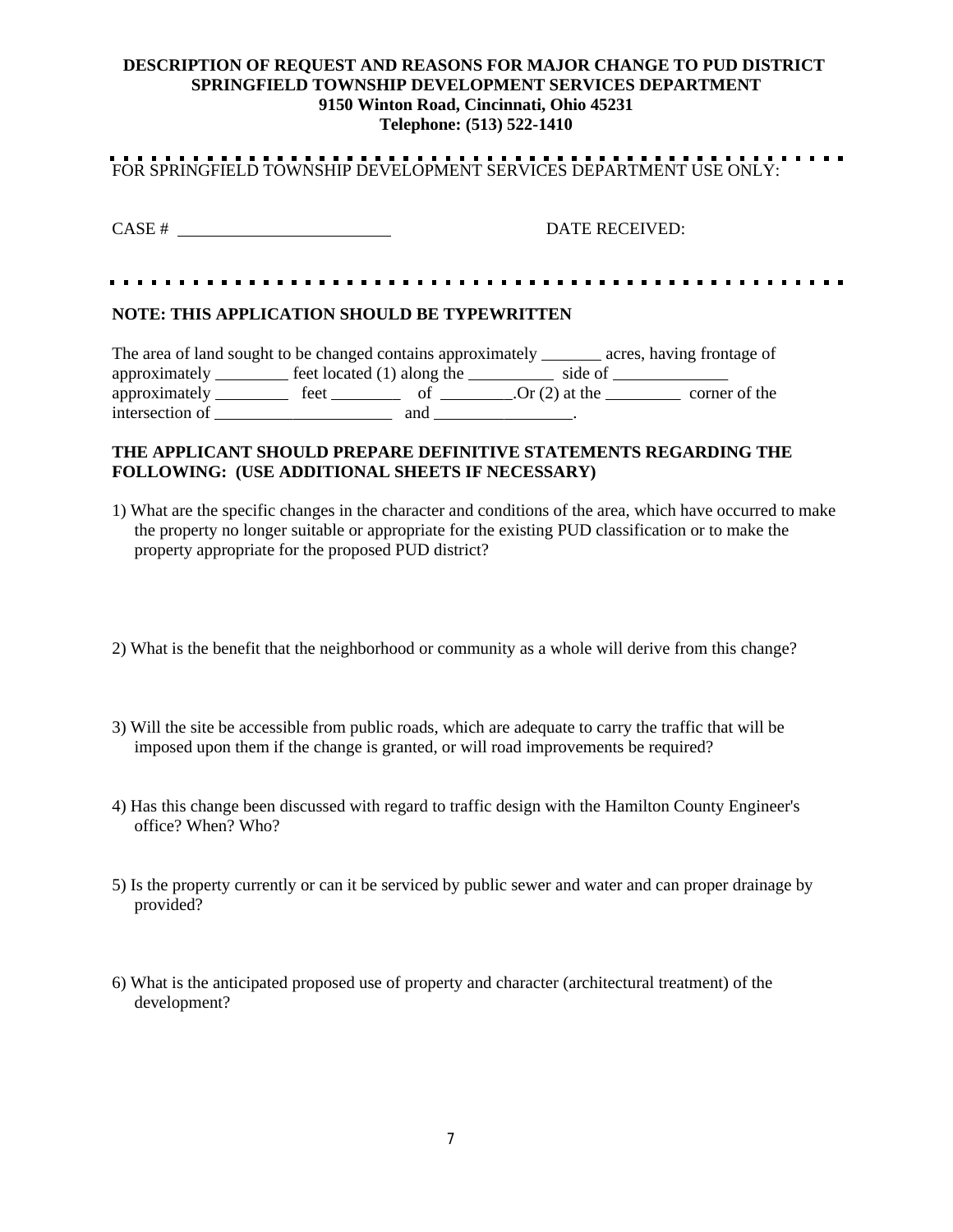#### **DESCRIPTION OF REQUEST AND REASONS FOR MAJOR CHANGE TO PUD DISTRICT SPRINGFIELD TOWNSHIP DEVELOPMENT SERVICES DEPARTMENT 9150 Winton Road, Cincinnati, Ohio 45231 Telephone: (513) 522-1410**

# FOR SPRINGFIELD TOWNSHIP DEVELOPMENT SERVICES DEPARTMENT USE ONLY:

CASE # DATE RECEIVED:

#### 

#### **NOTE: THIS APPLICATION SHOULD BE TYPEWRITTEN**

| The area of land sought to be changed contains approximately |                              |     |                  | acres, having frontage of |
|--------------------------------------------------------------|------------------------------|-----|------------------|---------------------------|
| approximately _                                              | feet located $(1)$ along the |     | side of          |                           |
| approximately                                                | feet                         |     | .Or $(2)$ at the | corner of the             |
| intersection of                                              |                              | and |                  |                           |

#### **THE APPLICANT SHOULD PREPARE DEFINITIVE STATEMENTS REGARDING THE FOLLOWING: (USE ADDITIONAL SHEETS IF NECESSARY)**

- 1) What are the specific changes in the character and conditions of the area, which have occurred to make the property no longer suitable or appropriate for the existing PUD classification or to make the property appropriate for the proposed PUD district?
- 2) What is the benefit that the neighborhood or community as a whole will derive from this change?
- 3) Will the site be accessible from public roads, which are adequate to carry the traffic that will be imposed upon them if the change is granted, or will road improvements be required?
- 4) Has this change been discussed with regard to traffic design with the Hamilton County Engineer's office? When? Who?
- 5) Is the property currently or can it be serviced by public sewer and water and can proper drainage by provided?
- 6) What is the anticipated proposed use of property and character (architectural treatment) of the development?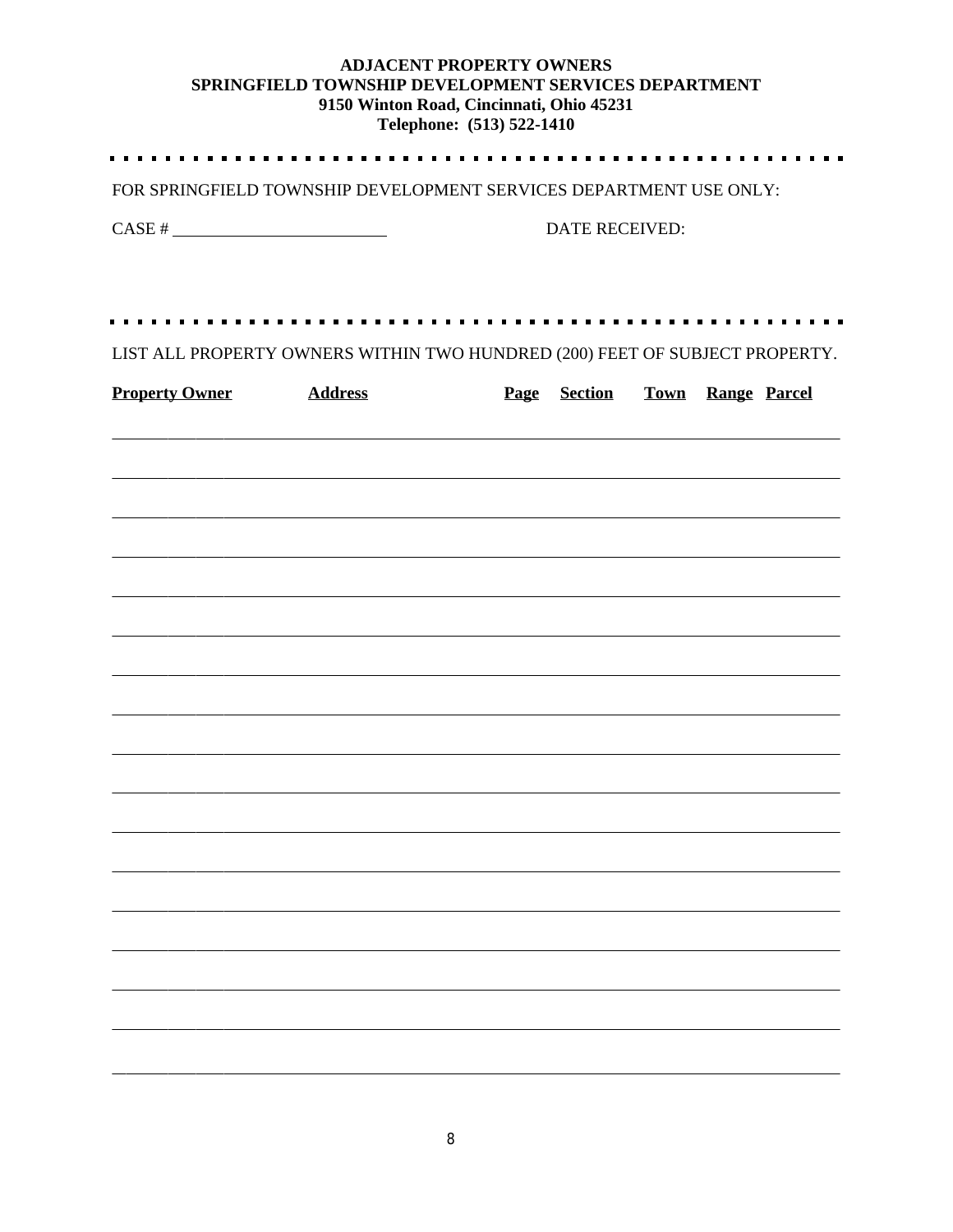## **ADJACENT PROPERTY OWNERS SPRINGFIELD TOWNSHIP DEVELOPMENT SERVICES DEPARTMENT 9150 Winton Road, Cincinnati, Ohio 45231**

|                       | Telephone: (513) 522-1410                                                                                            |                       |                     |  |                          |  |  |
|-----------------------|----------------------------------------------------------------------------------------------------------------------|-----------------------|---------------------|--|--------------------------|--|--|
|                       | FOR SPRINGFIELD TOWNSHIP DEVELOPMENT SERVICES DEPARTMENT USE ONLY:                                                   |                       |                     |  |                          |  |  |
| $CASE # \_$           |                                                                                                                      | <b>DATE RECEIVED:</b> |                     |  |                          |  |  |
|                       |                                                                                                                      |                       |                     |  |                          |  |  |
|                       |                                                                                                                      |                       |                     |  |                          |  |  |
|                       | LIST ALL PROPERTY OWNERS WITHIN TWO HUNDRED (200) FEET OF SUBJECT PROPERTY.                                          |                       |                     |  |                          |  |  |
| <b>Property Owner</b> | <b>Address</b>                                                                                                       |                       | <b>Page</b> Section |  | <b>Town Range Parcel</b> |  |  |
|                       | ,我们也不能在这里的时候,我们也不能在这里的时候,我们也不能会在这里的时候,我们也不能会在这里的时候,我们也不能会在这里的时候,我们也不能会在这里的时候,我们也不                                    |                       |                     |  |                          |  |  |
|                       |                                                                                                                      |                       |                     |  |                          |  |  |
|                       | <u>,这就是这个人的人,我们就是这个人的人,我们就是这个人的人,我们就是这个人的人,我们就是这个人的人,我们就是这个人的人,我们就是</u>                                              |                       |                     |  |                          |  |  |
|                       |                                                                                                                      |                       |                     |  |                          |  |  |
|                       |                                                                                                                      |                       |                     |  |                          |  |  |
|                       |                                                                                                                      |                       |                     |  |                          |  |  |
|                       | <u> 1989 - Andrea Santa Andrea Andrea Andrea Andrea Andrea Andrea Andrea Andrea Andrea Andrea Andrea Andrea Andr</u> |                       |                     |  |                          |  |  |
|                       |                                                                                                                      |                       |                     |  |                          |  |  |
|                       |                                                                                                                      |                       |                     |  |                          |  |  |
|                       |                                                                                                                      |                       |                     |  |                          |  |  |
|                       |                                                                                                                      |                       |                     |  |                          |  |  |
|                       |                                                                                                                      |                       |                     |  |                          |  |  |
|                       |                                                                                                                      |                       |                     |  |                          |  |  |
|                       |                                                                                                                      |                       |                     |  |                          |  |  |
|                       |                                                                                                                      |                       |                     |  |                          |  |  |

 $\blacksquare$ 

 $\blacksquare$ 

 $\overline{a}$ 

 $\overline{a}$ 

 $\overline{a}$